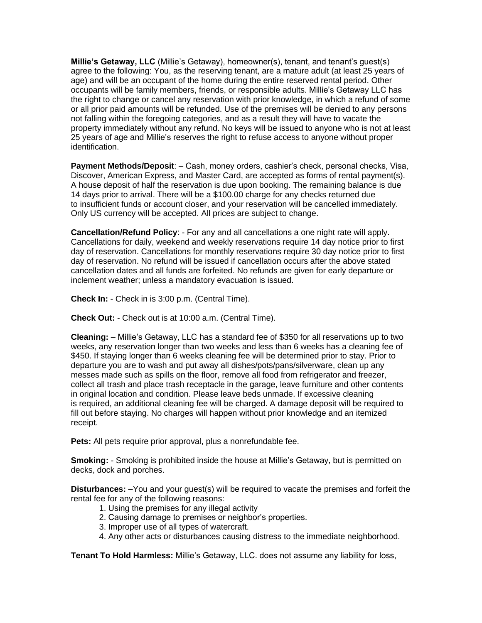**Millie's Getaway, LLC** (Millie's Getaway), homeowner(s), tenant, and tenant's guest(s) agree to the following: You, as the reserving tenant, are a mature adult (at least 25 years of age) and will be an occupant of the home during the entire reserved rental period. Other occupants will be family members, friends, or responsible adults. Millie's Getaway LLC has the right to change or cancel any reservation with prior knowledge, in which a refund of some or all prior paid amounts will be refunded. Use of the premises will be denied to any persons not falling within the foregoing categories, and as a result they will have to vacate the property immediately without any refund. No keys will be issued to anyone who is not at least 25 years of age and Millie's reserves the right to refuse access to anyone without proper identification.

**Payment Methods/Deposit**: – Cash, money orders, cashier's check, personal checks, Visa, Discover, American Express, and Master Card, are accepted as forms of rental payment(s). A house deposit of half the reservation is due upon booking. The remaining balance is due 14 days prior to arrival. There will be a \$100.00 charge for any checks returned due to insufficient funds or account closer, and your reservation will be cancelled immediately. Only US currency will be accepted. All prices are subject to change.

**Cancellation/Refund Policy**: - For any and all cancellations a one night rate will apply. Cancellations for daily, weekend and weekly reservations require 14 day notice prior to first day of reservation. Cancellations for monthly reservations require 30 day notice prior to first day of reservation. No refund will be issued if cancellation occurs after the above stated cancellation dates and all funds are forfeited. No refunds are given for early departure or inclement weather; unless a mandatory evacuation is issued.

**Check In:** - Check in is 3:00 p.m. (Central Time).

**Check Out:** - Check out is at 10:00 a.m. (Central Time).

**Cleaning:** – Millie's Getaway, LLC has a standard fee of \$350 for all reservations up to two weeks, any reservation longer than two weeks and less than 6 weeks has a cleaning fee of \$450. If staying longer than 6 weeks cleaning fee will be determined prior to stay. Prior to departure you are to wash and put away all dishes/pots/pans/silverware, clean up any messes made such as spills on the floor, remove all food from refrigerator and freezer, collect all trash and place trash receptacle in the garage, leave furniture and other contents in original location and condition. Please leave beds unmade. If excessive cleaning is required, an additional cleaning fee will be charged. A damage deposit will be required to fill out before staying. No charges will happen without prior knowledge and an itemized receipt.

**Pets:** All pets require prior approval, plus a nonrefundable fee.

**Smoking:** - Smoking is prohibited inside the house at Millie's Getaway, but is permitted on decks, dock and porches.

**Disturbances:** –You and your guest(s) will be required to vacate the premises and forfeit the rental fee for any of the following reasons:

- 1. Using the premises for any illegal activity
- 2. Causing damage to premises or neighbor's properties.
- 3. Improper use of all types of watercraft.
- 4. Any other acts or disturbances causing distress to the immediate neighborhood.

**Tenant To Hold Harmless:** Millie's Getaway, LLC. does not assume any liability for loss,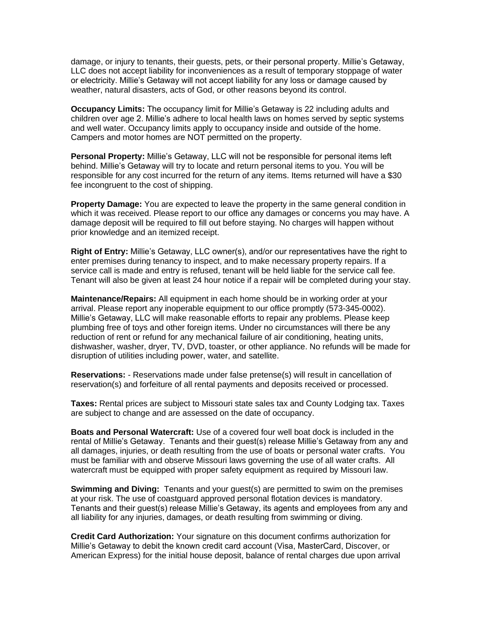damage, or injury to tenants, their guests, pets, or their personal property. Millie's Getaway, LLC does not accept liability for inconveniences as a result of temporary stoppage of water or electricity. Millie's Getaway will not accept liability for any loss or damage caused by weather, natural disasters, acts of God, or other reasons beyond its control.

**Occupancy Limits:** The occupancy limit for Millie's Getaway is 22 including adults and children over age 2. Millie's adhere to local health laws on homes served by septic systems and well water. Occupancy limits apply to occupancy inside and outside of the home. Campers and motor homes are NOT permitted on the property.

**Personal Property:** Millie's Getaway, LLC will not be responsible for personal items left behind. Millie's Getaway will try to locate and return personal items to you. You will be responsible for any cost incurred for the return of any items. Items returned will have a \$30 fee incongruent to the cost of shipping.

**Property Damage:** You are expected to leave the property in the same general condition in which it was received. Please report to our office any damages or concerns you may have. A damage deposit will be required to fill out before staying. No charges will happen without prior knowledge and an itemized receipt.

**Right of Entry:** Millie's Getaway, LLC owner(s), and/or our representatives have the right to enter premises during tenancy to inspect, and to make necessary property repairs. If a service call is made and entry is refused, tenant will be held liable for the service call fee. Tenant will also be given at least 24 hour notice if a repair will be completed during your stay.

**Maintenance/Repairs:** All equipment in each home should be in working order at your arrival. Please report any inoperable equipment to our office promptly (573-345-0002). Millie's Getaway, LLC will make reasonable efforts to repair any problems. Please keep plumbing free of toys and other foreign items. Under no circumstances will there be any reduction of rent or refund for any mechanical failure of air conditioning, heating units, dishwasher, washer, dryer, TV, DVD, toaster, or other appliance. No refunds will be made for disruption of utilities including power, water, and satellite.

**Reservations:** - Reservations made under false pretense(s) will result in cancellation of reservation(s) and forfeiture of all rental payments and deposits received or processed.

**Taxes:** Rental prices are subject to Missouri state sales tax and County Lodging tax. Taxes are subject to change and are assessed on the date of occupancy.

**Boats and Personal Watercraft:** Use of a covered four well boat dock is included in the rental of Millie's Getaway. Tenants and their guest(s) release Millie's Getaway from any and all damages, injuries, or death resulting from the use of boats or personal water crafts. You must be familiar with and observe Missouri laws governing the use of all water crafts. All watercraft must be equipped with proper safety equipment as required by Missouri law.

**Swimming and Diving:** Tenants and your guest(s) are permitted to swim on the premises at your risk. The use of coastguard approved personal flotation devices is mandatory. Tenants and their guest(s) release Millie's Getaway, its agents and employees from any and all liability for any injuries, damages, or death resulting from swimming or diving.

**Credit Card Authorization:** Your signature on this document confirms authorization for Millie's Getaway to debit the known credit card account (Visa, MasterCard, Discover, or American Express) for the initial house deposit, balance of rental charges due upon arrival